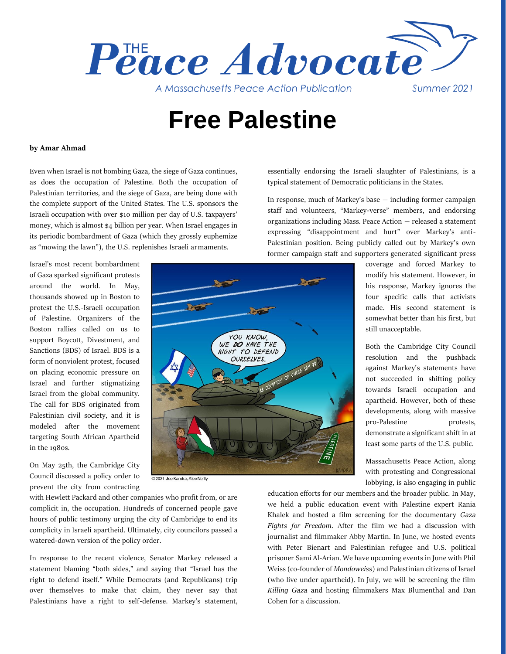

# **Free Palestine**

### **by Amar Ahmad**

Even when Israel is not bombing Gaza, the siege of Gaza continues, as does the occupation of Palestine. Both the occupation of Palestinian territories, and the siege of Gaza, are being done with the complete support of the United States. The U.S. sponsors the Israeli occupation with over \$10 million per day of U.S. taxpayers' money, which is almost \$4 billion per year. When Israel engages in its periodic bombardment of Gaza (which they grossly euphemize as "mowing the lawn"), the U.S. replenishes Israeli armaments.

Israel's most recent bombardment of Gaza sparked significant protests around the world. In May, thousands showed up in Boston to protest the U.S.-Israeli occupation of Palestine. Organizers of the Boston rallies called on us to support Boycott, Divestment, and Sanctions (BDS) of Israel. BDS is a form of nonviolent protest, focused on placing economic pressure on Israel and further stigmatizing Israel from the global community. The call for BDS originated from Palestinian civil society, and it is modeled after the movement targeting South African Apartheid in the 1980s.

On May 25th, the Cambridge City Council discussed a policy order to prevent the city from contracting

essentially endorsing the Israeli slaughter of Palestinians, is a typical statement of Democratic politicians in the States.

In response, much of Markey's base — including former campaign staff and volunteers, "Markey-verse" members, and endorsing organizations including Mass. Peace Action — released a statement expressing "disappointment and hurt" over Markey's anti-Palestinian position. Being publicly called out by Markey's own former campaign staff and supporters generated significant press



© 2021 Joe Kandra, Alec Neilly

with Hewlett Packard and other companies who profit from, or are complicit in, the occupation. Hundreds of concerned people gave hours of public testimony urging the city of Cambridge to end its complicity in Israeli apartheid. Ultimately, city councilors passed a watered-down version of the policy order.

In response to the recent violence, Senator Markey released a statement blaming "both sides," and saying that "Israel has the right to defend itself." While Democrats (and Republicans) trip over themselves to make that claim, they never say that Palestinians have a right to self-defense. Markey's statement,

coverage and forced Markey to modify his statement. However, in his response, Markey ignores the four specific calls that activists made. His second statement is somewhat better than his first, but still unacceptable.

Both the Cambridge City Council resolution and the pushback against Markey's statements have not succeeded in shifting policy towards Israeli occupation and apartheid. However, both of these developments, along with massive pro-Palestine protests, demonstrate a significant shift in at least some parts of the U.S. public.

Massachusetts Peace Action, along with protesting and Congressional lobbying, is also engaging in public

education efforts for our members and the broader public. In May, we held a public education event with Palestine expert Rania Khalek and hosted a film screening for the documentary *Gaza Fights for Freedom*. After the film we had a discussion with journalist and filmmaker Abby Martin. In June, we hosted events with Peter Bienart and Palestinian refugee and U.S. political prisoner Sami Al-Arian. We have upcoming events in June with Phil Weiss (co-founder of *Mondoweiss*) and Palestinian citizens of Israel (who live under apartheid). In July, we will be screening the film *Killing Gaza* and hosting filmmakers Max Blumenthal and Dan Cohen for a discussion.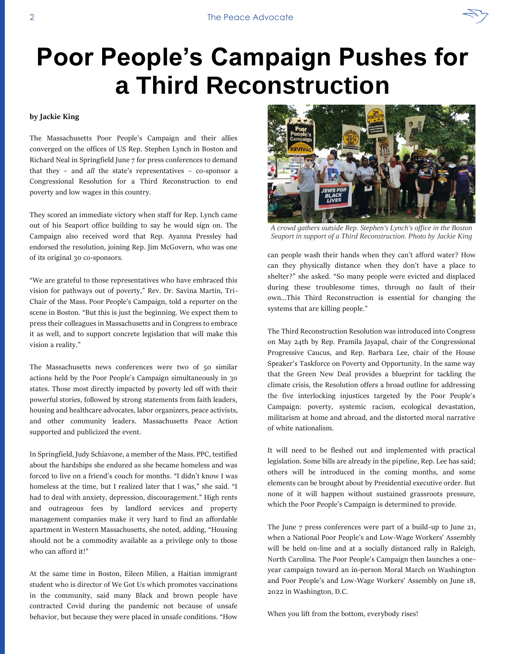# **Poor People's Campaign Pushes for a Third Reconstruction**

### **by Jackie King**

The Massachusetts Poor People's Campaign and their allies converged on the offices of US Rep. Stephen Lynch in Boston and Richard Neal in Springfield June 7 for press conferences to demand that they – and *all* the state's representatives – co-sponsor a Congressional Resolution for a Third Reconstruction to end poverty and low wages in this country.

They scored an immediate victory when staff for Rep. Lynch came out of his Seaport office building to say he would sign on. The Campaign also received word that Rep. Ayanna Pressley had endorsed the resolution, joining Rep. Jim McGovern, who was one of its original 30 co-sponsors.

"We are grateful to those representatives who have embraced this vision for pathways out of poverty," Rev. Dr. Savina Martin, Tri-Chair of the Mass. Poor People's Campaign, told a reporter on the scene in Boston. "But this is just the beginning. We expect them to press their colleagues in Massachusetts and in Congress to embrace it as well, and to support concrete legislation that will make this vision a reality."

The Massachusetts news conferences were two of 50 similar actions held by the Poor People's Campaign simultaneously in 30 states. Those most directly impacted by poverty led off with their powerful stories, followed by strong statements from faith leaders, housing and healthcare advocates, labor organizers, peace activists, and other community leaders. Massachusetts Peace Action supported and publicized the event.

In Springfield, Judy Schiavone, a member of the Mass. PPC, testified about the hardships she endured as she became homeless and was forced to live on a friend's couch for months. "I didn't know I was homeless at the time, but I realized later that I was," she said. "I had to deal with anxiety, depression, discouragement." High rents and outrageous fees by landlord services and property management companies make it very hard to find an affordable apartment in Western Massachusetts, she noted, adding, "Housing should not be a commodity available as a privilege only to those who can afford it!"

At the same time in Boston, Eileen Milien, a Haitian immigrant student who is director of We Got Us which promotes vaccinations in the community, said many Black and brown people have contracted Covid during the pandemic not because of unsafe behavior, but because they were placed in unsafe conditions. "How *A crowd gathers outside Rep. Stephen's Lynch's office in the Boston* 

*Seaport in support of a Third Reconstruction. Photo by Jackie King*

can people wash their hands when they can't afford water? How can they physically distance when they don't have a place to shelter?" she asked. "So many people were evicted and displaced during these troublesome times, through no fault of their own…This Third Reconstruction is essential for changing the systems that are killing people."

The Third Reconstruction Resolution was introduced into Congress on May 24th by Rep. Pramila Jayapal, chair of the Congressional Progressive Caucus, and Rep. Barbara Lee, chair of the House Speaker's Taskforce on Poverty and Opportunity. In the same way that the Green New Deal provides a blueprint for tackling the climate crisis, the Resolution offers a broad outline for addressing the five interlocking injustices targeted by the Poor People's Campaign: poverty, systemic racism, ecological devastation, militarism at home and abroad, and the distorted moral narrative of white nationalism.

It will need to be fleshed out and implemented with practical legislation. Some bills are already in the pipeline, Rep. Lee has said; others will be introduced in the coming months, and some elements can be brought about by Presidential executive order. But none of it will happen without sustained grassroots pressure, which the Poor People's Campaign is determined to provide.

The June 7 press conferences were part of a build-up to June 21, when a National Poor People's and Low-Wage Workers' Assembly will be held on-line and at a socially distanced rally in Raleigh, North Carolina. The Poor People's Campaign then launches a oneyear campaign toward an in-person Moral March on Washington and Poor People's and Low-Wage Workers' Assembly on June 18, 2022 in Washington, D.C.

When you lift from the bottom, everybody rises!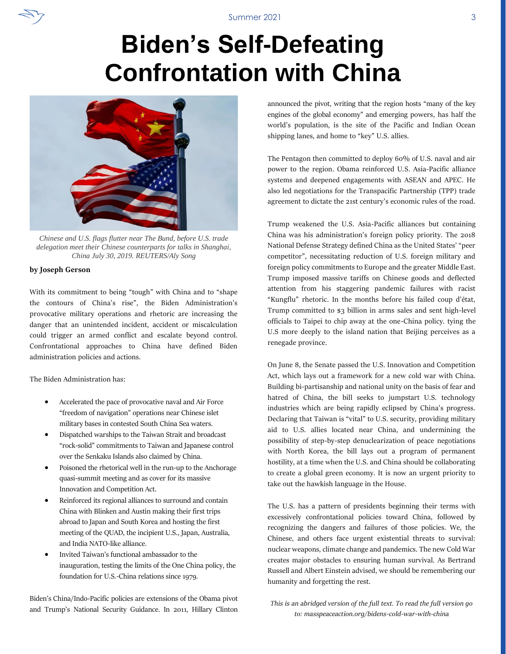# **Biden's Self-Defeating Confrontation with China**



*Chinese and U.S. flags flutter near The Bund, before U.S. trade delegation meet their Chinese counterparts for talks in Shanghai, China July 30, 2019. REUTERS/Aly Song*

### **by Joseph Gerson**

With its commitment to being "tough" with China and to "shape the contours of China's rise", the Biden Administration's provocative military operations and rhetoric are increasing the danger that an unintended incident, accident or miscalculation could trigger an armed conflict and escalate beyond control. Confrontational approaches to China have defined Biden administration policies and actions.

The Biden Administration has:

- Accelerated the pace of provocative naval and Air Force "freedom of navigation" operations near Chinese islet military bases in contested South China Sea waters.
- Dispatched warships to the Taiwan Strait and broadcast "rock-solid" commitments to Taiwan and Japanese control over the Senkaku Islands also claimed by China.
- Poisoned the rhetorical well in the run-up to the Anchorage quasi-summit meeting and as cover for its massive Innovation and Competition Act.
- Reinforced its regional alliances to surround and contain China with Blinken and Austin making their first trips abroad to Japan and South Korea and hosting the first meeting of the QUAD, the incipient U.S., Japan, Australia, and India NATO-like alliance.
- Invited Taiwan's functional ambassador to the inauguration, testing the limits of the One China policy, the foundation for U.S.-China relations since 1979.

Biden's China/Indo-Pacific policies are extensions of the Obama pivot and Trump's National Security Guidance. In 2011, Hillary Clinton announced the pivot, writing that the region hosts "many of the key engines of the global economy" and emerging powers, has half the world's population, is the site of the Pacific and Indian Ocean shipping lanes, and home to "key" U.S. allies.

The Pentagon then committed to deploy 60% of U.S. naval and air power to the region. Obama reinforced U.S. Asia-Pacific alliance systems and deepened engagements with ASEAN and APEC. He also led negotiations for the Transpacific Partnership (TPP) trade agreement to dictate the 21st century's economic rules of the road.

Trump weakened the U.S. Asia-Pacific alliances but containing China was his administration's foreign policy priority. The 2018 National Defense Strategy defined China as the United States' "peer competitor", necessitating reduction of U.S. foreign military and foreign policy commitments to Europe and the greater Middle East. Trump imposed massive tariffs on Chinese goods and deflected attention from his staggering pandemic failures with racist "Kungflu" rhetoric. In the months before his failed coup d'état, Trump committed to \$3 billion in arms sales and sent high-level officials to Taipei to chip away at the one-China policy. tying the U.S more deeply to the island nation that Beijing perceives as a renegade province.

On June 8, the Senate passed the U.S. Innovation and Competition Act, which lays out a framework for a new cold war with China. Building bi-partisanship and national unity on the basis of fear and hatred of China, the bill seeks to jumpstart U.S. technology industries which are being rapidly eclipsed by China's progress. Declaring that Taiwan is "vital" to U.S. security, providing military aid to U.S. allies located near China, and undermining the possibility of step-by-step denuclearization of peace negotiations with North Korea, the bill lays out a program of permanent hostility, at a time when the U.S. and China should be collaborating to create a global green economy. It is now an urgent priority to take out the hawkish language in the House.

The U.S. has a pattern of presidents beginning their terms with excessively confrontational policies toward China, followed by recognizing the dangers and failures of those policies. We, the Chinese, and others face urgent existential threats to survival: nuclear weapons, climate change and pandemics. The new Cold War creates major obstacles to ensuring human survival. As Bertrand Russell and Albert Einstein advised, we should be remembering our humanity and forgetting the rest.

*This is an abridged version of the full text. To read the full version go to: masspeaceaction.org/bidens-cold-war-with-china*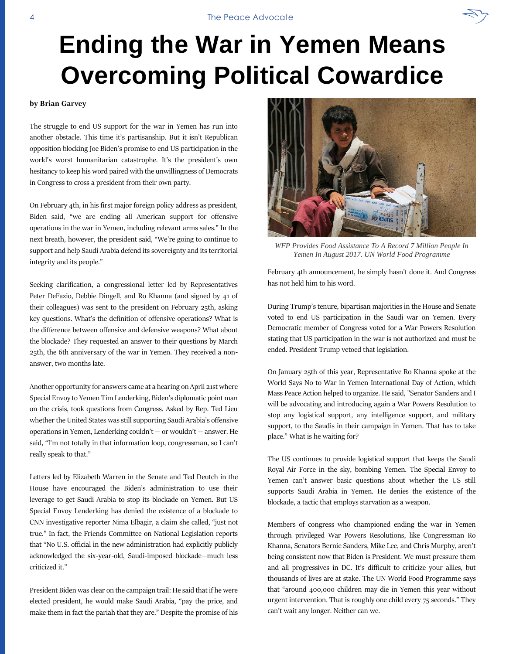# **Ending the War in Yemen Means Overcoming Political Cowardice**

### **by Brian Garvey**

The struggle to end US support for the war in Yemen has run into another obstacle. This time it's partisanship. But it isn't Republican opposition blocking Joe Biden's promise to end US participation in the world's worst humanitarian catastrophe. It's the president's own hesitancy to keep his word paired with the unwillingness of Democrats in Congress to cross a president from their own party.

On February 4th, in his first major foreign policy address as president, Biden said, "we are ending all American support for offensive operations in the war in Yemen, including relevant arms sales." In the next breath, however, the president said, "We're going to continue to support and help Saudi Arabia defend its sovereignty and its territorial integrity and its people."

Seeking clarification, a congressional letter led by Representatives Peter DeFazio, Debbie Dingell, and Ro Khanna (and signed by 41 of their colleagues) was sent to the president on February 25th, asking key questions. What's the definition of offensive operations? What is the difference between offensive and defensive weapons? What about the blockade? They requested an answer to their questions by March 25th, the 6th anniversary of the war in Yemen. They received a nonanswer, two months late.

Another opportunity for answers came at a hearing on April 21st where Special Envoy to Yemen Tim Lenderking, Biden's diplomatic point man on the crisis, took questions from Congress. Asked by Rep. Ted Lieu whether the United States was still supporting Saudi Arabia's offensive operations in Yemen, Lenderking couldn't — or wouldn't — answer. He said, "I'm not totally in that information loop, congressman, so I can't really speak to that."

Letters led by Elizabeth Warren in the Senate and Ted Deutch in the House have encouraged the Biden's administration to use their leverage to get Saudi Arabia to stop its blockade on Yemen. But US Special Envoy Lenderking has denied the existence of a blockade to CNN investigative reporter Nima Elbagir, a claim she called, "just not true." In fact, the Friends Committee on National Legislation reports that "No U.S. official in the new administration had explicitly publicly acknowledged the six-year-old, Saudi-imposed blockade—much less criticized it."

President Biden was clear on the campaign trail: He said that if he were elected president, he would make Saudi Arabia, "pay the price, and make them in fact the pariah that they are." Despite the promise of his

*WFP Provides Food Assistance To A Record 7 Million People In Yemen In August 2017. UN World Food Programme*

February 4th announcement, he simply hasn't done it. And Congress has not held him to his word.

During Trump's tenure, bipartisan majorities in the House and Senate voted to end US participation in the Saudi war on Yemen. Every Democratic member of Congress voted for a War Powers Resolution stating that US participation in the war is not authorized and must be ended. President Trump vetoed that legislation.

On January 25th of this year, Representative Ro Khanna spoke at the World Says No to War in Yemen International Day of Action, which Mass Peace Action helped to organize. He said, "Senator Sanders and I will be advocating and introducing again a War Powers Resolution to stop any logistical support, any intelligence support, and military support, to the Saudis in their campaign in Yemen. That has to take place." What is he waiting for?

The US continues to provide logistical support that keeps the Saudi Royal Air Force in the sky, bombing Yemen. The Special Envoy to Yemen can't answer basic questions about whether the US still supports Saudi Arabia in Yemen. He denies the existence of the blockade, a tactic that employs starvation as a weapon.

Members of congress who championed ending the war in Yemen through privileged War Powers Resolutions, like Congressman Ro Khanna, Senators Bernie Sanders, Mike Lee, and Chris Murphy, aren't being consistent now that Biden is President. We must pressure them and all progressives in DC. It's difficult to criticize your allies, but thousands of lives are at stake. The UN World Food Programme says that "around 400,000 children may die in Yemen this year without urgent intervention. That is roughly one child every 75 seconds." They can't wait any longer. Neither can we.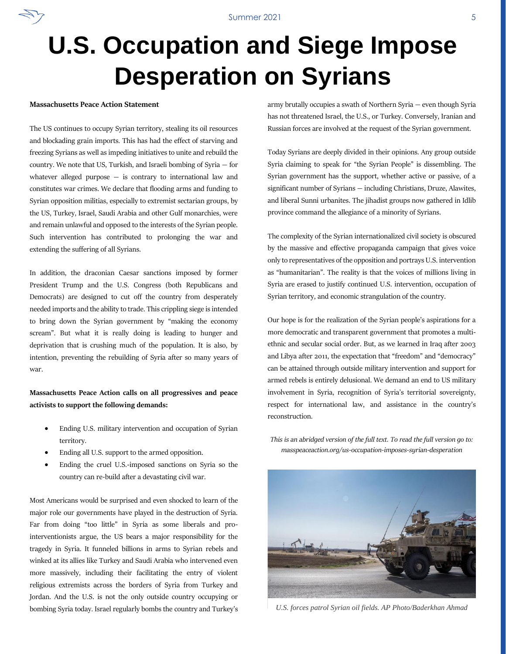# **U.S. Occupation and Siege Impose Desperation on Syrians**

### **Massachusetts Peace Action Statement**

The US continues to occupy Syrian territory, stealing its oil resources and blockading grain imports. This has had the effect of starving and freezing Syrians as well as impeding initiatives to unite and rebuild the country. We note that US, Turkish, and Israeli bombing of Syria — for whatever alleged purpose  $-$  is contrary to international law and constitutes war crimes. We declare that flooding arms and funding to Syrian opposition militias, especially to extremist sectarian groups, by the US, Turkey, Israel, Saudi Arabia and other Gulf monarchies, were and remain unlawful and opposed to the interests of the Syrian people. Such intervention has contributed to prolonging the war and extending the suffering of all Syrians.

In addition, the draconian Caesar sanctions imposed by former President Trump and the U.S. Congress (both Republicans and Democrats) are designed to cut off the country from desperately needed imports and the ability to trade. This crippling siege is intended to bring down the Syrian government by "making the economy scream". But what it is really doing is leading to hunger and deprivation that is crushing much of the population. It is also, by intention, preventing the rebuilding of Syria after so many years of war.

**Massachusetts Peace Action calls on all progressives and peace activists to support the following demands:**

- Ending U.S. military intervention and occupation of Syrian territory.
- Ending all U.S. support to the armed opposition.
- Ending the cruel U.S.-imposed sanctions on Syria so the country can re-build after a devastating civil war.

Most Americans would be surprised and even shocked to learn of the major role our governments have played in the destruction of Syria. Far from doing "too little" in Syria as some liberals and prointerventionists argue, the US bears a major responsibility for the tragedy in Syria. It funneled billions in arms to Syrian rebels and winked at its allies like Turkey and Saudi Arabia who intervened even more massively, including their facilitating the entry of violent religious extremists across the borders of Syria from Turkey and Jordan. And the U.S. is not the only outside country occupying or bombing Syria today. Israel regularly bombs the country and Turkey's army brutally occupies a swath of Northern Syria — even though Syria has not threatened Israel, the U.S., or Turkey. Conversely, Iranian and Russian forces are involved at the request of the Syrian government.

Today Syrians are deeply divided in their opinions. Any group outside Syria claiming to speak for "the Syrian People" is dissembling. The Syrian government has the support, whether active or passive, of a significant number of Syrians — including Christians, Druze, Alawites, and liberal Sunni urbanites. The jihadist groups now gathered in Idlib province command the allegiance of a minority of Syrians.

The complexity of the Syrian internationalized civil society is obscured by the massive and effective propaganda campaign that gives voice only to representatives of the opposition and portrays U.S. intervention as "humanitarian". The reality is that the voices of millions living in Syria are erased to justify continued U.S. intervention, occupation of Syrian territory, and economic strangulation of the country.

Our hope is for the realization of the Syrian people's aspirations for a more democratic and transparent government that promotes a multiethnic and secular social order. But, as we learned in Iraq after 2003 and Libya after 2011, the expectation that "freedom" and "democracy" can be attained through outside military intervention and support for armed rebels is entirely delusional. We demand an end to US military involvement in Syria, recognition of Syria's territorial sovereignty, respect for international law, and assistance in the country's reconstruction.

*This is an abridged version of the full text. To read the full version go to: masspeaceaction.org/us-occupation-imposes-syrian-desperation*



*U.S. forces patrol Syrian oil fields. AP Photo/Baderkhan Ahmad*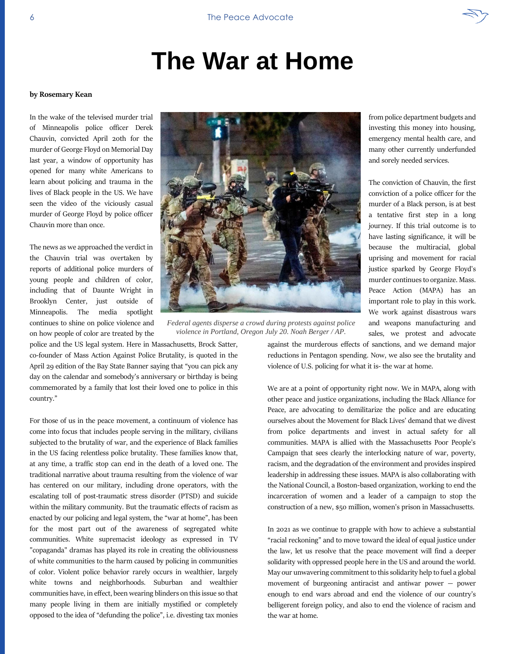# **The War at Home**

### **by Rosemary Kean**

In the wake of the televised murder trial of Minneapolis police officer Derek Chauvin, convicted April 20th for the murder of George Floyd on Memorial Day last year, a window of opportunity has opened for many white Americans to learn about policing and trauma in the lives of Black people in the US. We have seen the video of the viciously casual murder of George Floyd by police officer Chauvin more than once.

The news as we approached the verdict in the Chauvin trial was overtaken by reports of additional police murders of young people and children of color, including that of Daunte Wright in Brooklyn Center, just outside of Minneapolis. The media spotlight continues to shine on police violence and on how people of color are treated by the

*Federal agents disperse a crowd during protests against police violence in Portland, Oregon July 20. Noah Berger / AP.*

police and the US legal system. Here in Massachusetts, Brock Satter, co-founder of Mass Action Against Police Brutality, is quoted in the April 29 edition of the Bay State Banner saying that "you can pick any day on the calendar and somebody's anniversary or birthday is being commemorated by a family that lost their loved one to police in this country."

For those of us in the peace movement, a continuum of violence has come into focus that includes people serving in the military, civilians subjected to the brutality of war, and the experience of Black families in the US facing relentless police brutality. These families know that, at any time, a traffic stop can end in the death of a loved one. The traditional narrative about trauma resulting from the violence of war has centered on our military, including drone operators, with the escalating toll of post-traumatic stress disorder (PTSD) and suicide within the military community. But the traumatic effects of racism as enacted by our policing and legal system, the "war at home", has been for the most part out of the awareness of segregated white communities. White supremacist ideology as expressed in TV "copaganda" dramas has played its role in creating the obliviousness of white communities to the harm caused by policing in communities of color. Violent police behavior rarely occurs in wealthier, largely white towns and neighborhoods. Suburban and wealthier communities have, in effect, been wearing blinders on this issue so that many people living in them are initially mystified or completely opposed to the idea of "defunding the police", i.e. divesting tax monies against the murderous effects of sanctions, and we demand major reductions in Pentagon spending. Now, we also see the brutality and violence of U.S. policing for what it is- the war at home.

We are at a point of opportunity right now. We in MAPA, along with other peace and justice organizations, including the Black Alliance for Peace, are advocating to demilitarize the police and are educating ourselves about the Movement for Black Lives' demand that we divest from police departments and invest in actual safety for all communities. MAPA is allied with the Massachusetts Poor People's Campaign that sees clearly the interlocking nature of war, poverty, racism, and the degradation of the environment and provides inspired leadership in addressing these issues. MAPA is also collaborating with the National Council, a Boston-based organization, working to end the incarceration of women and a leader of a campaign to stop the construction of a new, \$50 million, women's prison in Massachusetts.

In 2021 as we continue to grapple with how to achieve a substantial "racial reckoning" and to move toward the ideal of equal justice under the law, let us resolve that the peace movement will find a deeper solidarity with oppressed people here in the US and around the world. May our unwavering commitment to this solidarity help to fuel a global movement of burgeoning antiracist and antiwar power — power enough to end wars abroad and end the violence of our country's belligerent foreign policy, and also to end the violence of racism and the war at home.

from police department budgets and investing this money into housing, emergency mental health care, and many other currently underfunded and sorely needed services.

The conviction of Chauvin, the first conviction of a police officer for the murder of a Black person, is at best a tentative first step in a long journey. If this trial outcome is to have lasting significance, it will be because the multiracial, global uprising and movement for racial justice sparked by George Floyd's murder continues to organize. Mass. Peace Action (MAPA) has an important role to play in this work. We work against disastrous wars and weapons manufacturing and sales, we protest and advocate

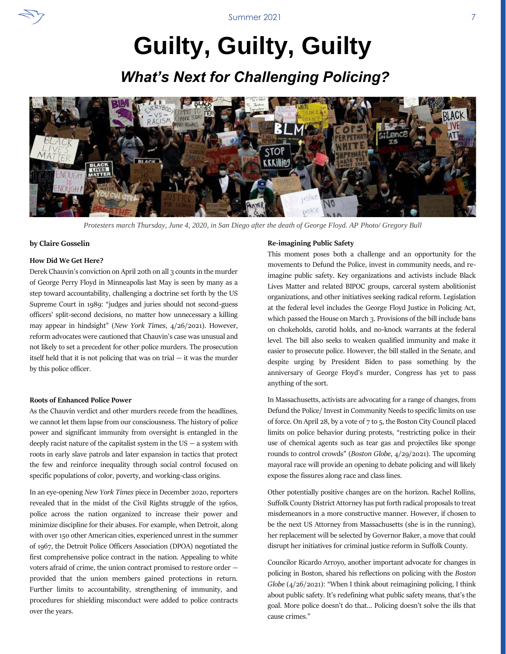# **Guilty, Guilty, Guilty**

### *What's Next for Challenging Policing?*



*Protesters march Thursday, June 4, 2020, in San Diego after the death of George Floyd. AP Photo/ Gregory Bull*

### **by Claire Gosselin**

### **How Did We Get Here?**

Derek Chauvin's conviction on April 20th on all 3 counts in the murder of George Perry Floyd in Minneapolis last May is seen by many as a step toward accountability, challenging a doctrine set forth by the US Supreme Court in 1989: "judges and juries should not second-guess officers' split-second decisions, no matter how unnecessary a killing may appear in hindsight" (*New York Times*, 4/26/2021). However, reform advocates were cautioned that Chauvin's case was unusual and not likely to set a precedent for other police murders. The prosecution itself held that it is not policing that was on trial  $-$  it was the murder by this police officer.

### **Roots of Enhanced Police Power**

As the Chauvin verdict and other murders recede from the headlines, we cannot let them lapse from our consciousness. The history of police power and significant immunity from oversight is entangled in the deeply racist nature of the capitalist system in the  $US - a$  system with roots in early slave patrols and later expansion in tactics that protect the few and reinforce inequality through social control focused on specific populations of color, poverty, and working-class origins.

In an eye-opening *New York Times* piece in December 2020, reporters revealed that in the midst of the Civil Rights struggle of the 1960s, police across the nation organized to increase their power and minimize discipline for their abuses. For example, when Detroit, along with over 150 other American cities, experienced unrest in the summer of 1967, the Detroit Police Officers Association (DPOA) negotiated the first comprehensive police contract in the nation. Appealing to white voters afraid of crime, the union contract promised to restore order provided that the union members gained protections in return. Further limits to accountability, strengthening of immunity, and procedures for shielding misconduct were added to police contracts over the years.

#### **Re-imagining Public Safety**

This moment poses both a challenge and an opportunity for the movements to Defund the Police, invest in community needs, and reimagine public safety. Key organizations and activists include Black Lives Matter and related BIPOC groups, carceral system abolitionist organizations, and other initiatives seeking radical reform. Legislation at the federal level includes the George Floyd Justice in Policing Act, which passed the House on March 3. Provisions of the bill include bans on chokeholds, carotid holds, and no-knock warrants at the federal level. The bill also seeks to weaken qualified immunity and make it easier to prosecute police. However, the bill stalled in the Senate, and despite urging by President Biden to pass something by the anniversary of George Floyd's murder, Congress has yet to pass anything of the sort.

In Massachusetts, activists are advocating for a range of changes, from Defund the Police/ Invest in Community Needs to specific limits on use of force. On April 28, by a vote of 7 to 5, the Boston City Council placed limits on police behavior during protests, "restricting police in their use of chemical agents such as tear gas and projectiles like sponge rounds to control crowds" (*Boston Globe*, 4/29/2021). The upcoming mayoral race will provide an opening to debate policing and will likely expose the fissures along race and class lines.

Other potentially positive changes are on the horizon. Rachel Rollins, Suffolk County District Attorney has put forth radical proposals to treat misdemeanors in a more constructive manner. However, if chosen to be the next US Attorney from Massachusetts (she is in the running), her replacement will be selected by Governor Baker, a move that could disrupt her initiatives for criminal justice reform in Suffolk County.

Councilor Ricardo Arroyo, another important advocate for changes in policing in Boston, shared his reflections on policing with the *Boston Globe* (4/26/2021): "When I think about reimagining policing, I think about public safety. It's redefining what public safety means, that's the goal. More police doesn't do that... Policing doesn't solve the ills that cause crimes."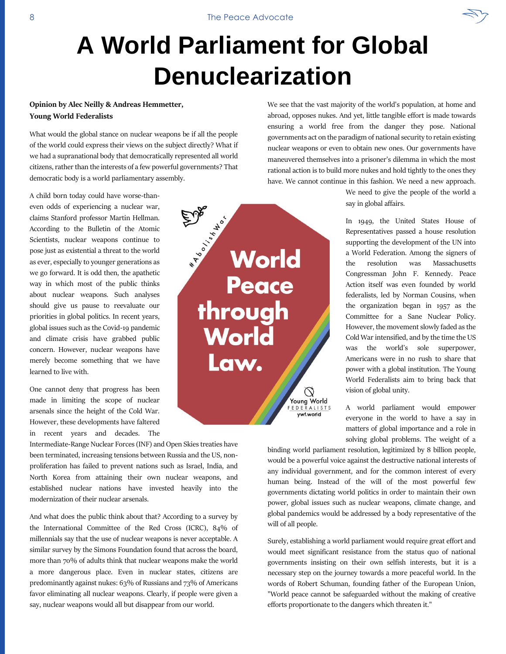# **A World Parliament for Global Denuclearization**

### **Opinion by Alec Neilly & Andreas Hemmetter, Young World Federalists**

What would the global stance on nuclear weapons be if all the people of the world could express their views on the subject directly? What if we had a supranational body that democratically represented all world citizens, rather than the interests of a few powerful governments? That democratic body is a world parliamentary assembly.

A child born today could have worse-thaneven odds of experiencing a nuclear war, claims Stanford professor Martin Hellman. According to the Bulletin of the Atomic Scientists, nuclear weapons continue to pose just as existential a threat to the world as ever, especially to younger generations as we go forward. It is odd then, the apathetic way in which most of the public thinks about nuclear weapons. Such analyses should give us pause to reevaluate our priorities in global politics. In recent years, global issues such as the Covid-19 pandemic and climate crisis have grabbed public concern. However, nuclear weapons have merely become something that we have learned to live with.

One cannot deny that progress has been made in limiting the scope of nuclear arsenals since the height of the Cold War. However, these developments have faltered in recent years and decades. The

Intermediate-Range Nuclear Forces (INF) and Open Skies treaties have been terminated, increasing tensions between Russia and the US, nonproliferation has failed to prevent nations such as Israel, India, and North Korea from attaining their own nuclear weapons, and established nuclear nations have invested heavily into the modernization of their nuclear arsenals.

And what does the public think about that? According to a survey by the International Committee of the Red Cross (ICRC), 84% of millennials say that the use of nuclear weapons is never acceptable. A similar survey by the Simons Foundation found that across the board, more than 70% of adults think that nuclear weapons make the world a more dangerous place. Even in nuclear states, citizens are predominantly against nukes: 63% of Russians and 73% of Americans favor eliminating all nuclear weapons. Clearly, if people were given a say, nuclear weapons would all but disappear from our world.

abroad, opposes nukes. And yet, little tangible effort is made towards ensuring a world free from the danger they pose. National governments act on the paradigm of national security to retain existing nuclear weapons or even to obtain new ones. Our governments have maneuvered themselves into a prisoner's dilemma in which the most rational action is to build more nukes and hold tightly to the ones they have. We cannot continue in this fashion. We need a new approach.

We see that the vast majority of the world's population, at home and

We need to give the people of the world a say in global affairs.

In 1949, the United States House of Representatives passed a house resolution supporting the development of the UN into a World Federation. Among the signers of the resolution was Massachusetts Congressman John F. Kennedy. Peace Action itself was even founded by world federalists, led by Norman Cousins, when the organization began in 1957 as the Committee for a Sane Nuclear Policy. However, the movement slowly faded as the Cold War intensified, and by the time the US was the world's sole superpower, Americans were in no rush to share that power with a global institution. The Young World Federalists aim to bring back that vision of global unity.

A world parliament would empower everyone in the world to have a say in matters of global importance and a role in solving global problems. The weight of a

binding world parliament resolution, legitimized by 8 billion people, would be a powerful voice against the destructive national interests of any individual government, and for the common interest of every human being. Instead of the will of the most powerful few governments dictating world politics in order to maintain their own power, global issues such as nuclear weapons, climate change, and global pandemics would be addressed by a body representative of the will of all people.

Surely, establishing a world parliament would require great effort and would meet significant resistance from the status quo of national governments insisting on their own selfish interests, but it is a necessary step on the journey towards a more peaceful world. In the words of Robert Schuman, founding father of the European Union, "World peace cannot be safeguarded without the making of creative efforts proportionate to the dangers which threaten it."

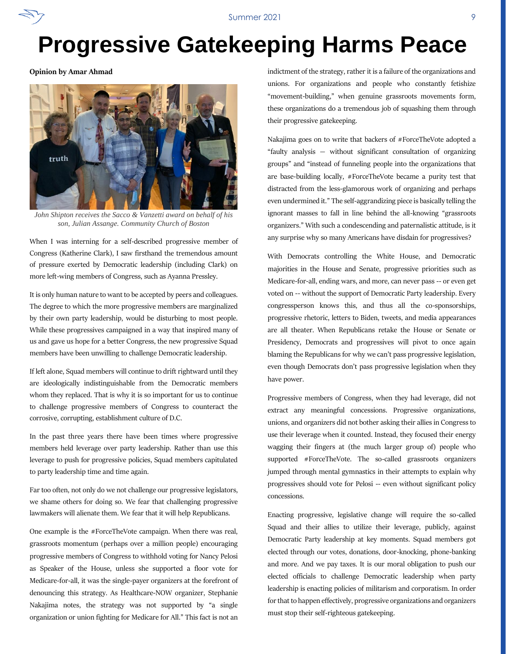### **Progressive Gatekeeping Harms Peace**

**Opinion by Amar Ahmad**



*John Shipton receives the Sacco & Vanzetti award on behalf of his son, Julian Assange. Community Church of Boston*

When I was interning for a self-described progressive member of Congress (Katherine Clark), I saw firsthand the tremendous amount of pressure exerted by Democratic leadership (including Clark) on more left-wing members of Congress, such as Ayanna Pressley.

It is only human nature to want to be accepted by peers and colleagues. The degree to which the more progressive members are marginalized by their own party leadership, would be disturbing to most people. While these progressives campaigned in a way that inspired many of us and gave us hope for a better Congress, the new progressive Squad members have been unwilling to challenge Democratic leadership.

If left alone, Squad members will continue to drift rightward until they are ideologically indistinguishable from the Democratic members whom they replaced. That is why it is so important for us to continue to challenge progressive members of Congress to counteract the corrosive, corrupting, establishment culture of D.C.

In the past three years there have been times where progressive members held leverage over party leadership. Rather than use this leverage to push for progressive policies, Squad members capitulated to party leadership time and time again.

Far too often, not only do we not challenge our progressive legislators, we shame others for doing so. We fear that challenging progressive lawmakers will alienate them. We fear that it will help Republicans.

One example is the #ForceTheVote campaign. When there was real, grassroots momentum (perhaps over a million people) encouraging progressive members of Congress to withhold voting for Nancy Pelosi as Speaker of the House, unless she supported a floor vote for Medicare-for-all, it was the single-payer organizers at the forefront of denouncing this strategy. As Healthcare-NOW organizer, Stephanie Nakajima notes, the strategy was not supported by "a single organization or union fighting for Medicare for All." This fact is not an

indictment of the strategy, rather it is a failure of the organizations and unions. For organizations and people who constantly fetishize "movement-building," when genuine grassroots movements form, these organizations do a tremendous job of squashing them through their progressive gatekeeping.

Nakajima goes on to write that backers of #ForceTheVote adopted a "faulty analysis — without significant consultation of organizing groups" and "instead of funneling people into the organizations that are base-building locally, #ForceTheVote became a purity test that distracted from the less-glamorous work of organizing and perhaps even undermined it." The self-aggrandizing piece is basically telling the ignorant masses to fall in line behind the all-knowing "grassroots organizers." With such a condescending and paternalistic attitude, is it any surprise why so many Americans have disdain for progressives?

With Democrats controlling the White House, and Democratic majorities in the House and Senate, progressive priorities such as Medicare-for-all, ending wars, and more, can never pass -- or even get voted on -- without the support of Democratic Party leadership. Every congressperson knows this, and thus all the co-sponsorships, progressive rhetoric, letters to Biden, tweets, and media appearances are all theater. When Republicans retake the House or Senate or Presidency, Democrats and progressives will pivot to once again blaming the Republicans for why we can't pass progressive legislation, even though Democrats don't pass progressive legislation when they have power.

Progressive members of Congress, when they had leverage, did not extract any meaningful concessions. Progressive organizations, unions, and organizers did not bother asking their allies in Congress to use their leverage when it counted. Instead, they focused their energy wagging their fingers at (the much larger group of) people who supported #ForceTheVote. The so-called grassroots organizers jumped through mental gymnastics in their attempts to explain why progressives should vote for Pelosi -- even without significant policy concessions.

Enacting progressive, legislative change will require the so-called Squad and their allies to utilize their leverage, publicly, against Democratic Party leadership at key moments. Squad members got elected through our votes, donations, door-knocking, phone-banking and more. And we pay taxes. It is our moral obligation to push our elected officials to challenge Democratic leadership when party leadership is enacting policies of militarism and corporatism. In order for that to happen effectively, progressive organizations and organizers must stop their self-righteous gatekeeping.